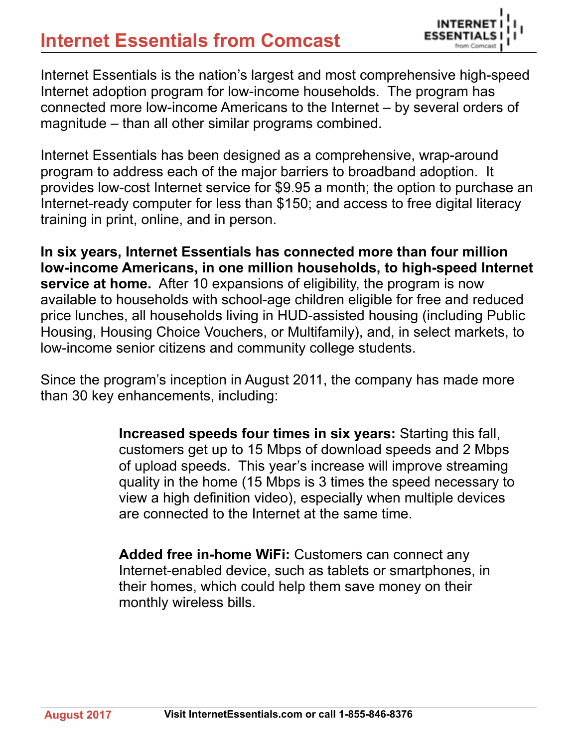## **Internet Essentials from Comcast**



Internet Essentials is the nation's largest and most comprehensive high-speed Internet adoption program for low-income households. The program has connected more low-income Americans to the Internet – by several orders of magnitude – than all other similar programs combined.

Internet Essentials has been designed as a comprehensive, wrap-around program to address each of the major barriers to broadband adoption. It provides low-cost Internet service for \$9.95 a month; the option to purchase an Internet-ready computer for less than \$150; and access to free digital literacy training in print, online, and in person.

**In six years, Internet Essentials has connected more than four million low-income Americans, in one million households, to high-speed Internet service at home.** After 10 expansions of eligibility, the program is now available to households with school-age children eligible for free and reduced price lunches, all households living in HUD-assisted housing (including Public Housing, Housing Choice Vouchers, or Multifamily), and, in select markets, to low-income senior citizens and community college students.

Since the program's inception in August 2011, the company has made more than 30 key enhancements, including:

> **Increased speeds four times in six years:** Starting this fall, customers get up to 15 Mbps of download speeds and 2 Mbps of upload speeds. This year's increase will improve streaming quality in the home (15 Mbps is 3 times the speed necessary to view a high definition video), especially when multiple devices are connected to the Internet at the same time.

**Added free in-home WiFi:** Customers can connect any Internet-enabled device, such as tablets or smartphones, in their homes, which could help them save money on their monthly wireless bills.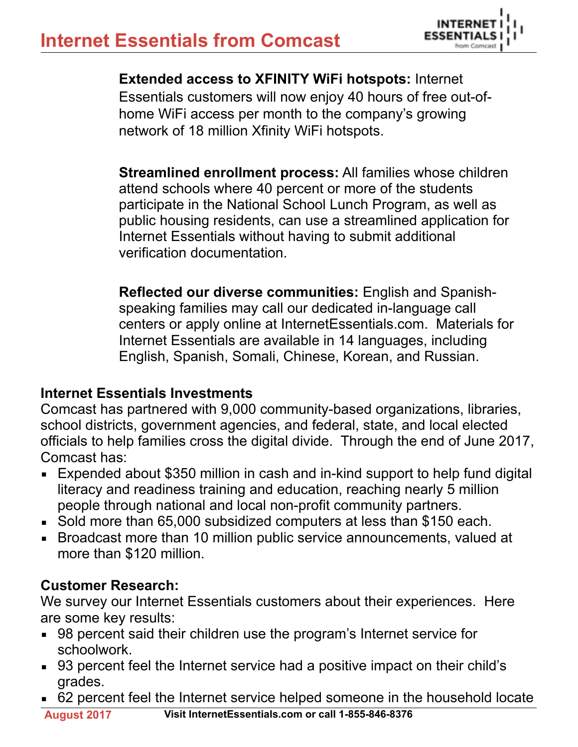

**Extended access to XFINITY WiFi hotspots:** Internet Essentials customers will now enjoy 40 hours of free out-ofhome WiFi access per month to the company's growing network of 18 million Xfinity WiFi hotspots.

**Streamlined enrollment process:** All families whose children attend schools where 40 percent or more of the students participate in the National School Lunch Program, as well as public housing residents, can use a streamlined application for Internet Essentials without having to submit additional verification documentation.

**Reflected our diverse communities:** English and Spanishspeaking families may call our dedicated in-language call centers or apply online at InternetEssentials.com. Materials for Internet Essentials are available in 14 languages, including English, Spanish, Somali, Chinese, Korean, and Russian.

## **Internet Essentials Investments**

Comcast has partnered with 9,000 community-based organizations, libraries, school districts, government agencies, and federal, state, and local elected officials to help families cross the digital divide. Through the end of June 2017, Comcast has:

- **Expended about \$350 million in cash and in-kind support to help fund digital** literacy and readiness training and education, reaching nearly 5 million people through national and local non-profit community partners.
- Sold more than 65,000 subsidized computers at less than \$150 each.
- Broadcast more than 10 million public service announcements, valued at more than \$120 million.

## **Customer Research:**

We survey our Internet Essentials customers about their experiences. Here are some key results:

- 98 percent said their children use the program's Internet service for schoolwork.
- 93 percent feel the Internet service had a positive impact on their child's grades.
- 62 percent feel the Internet service helped someone in the household locate